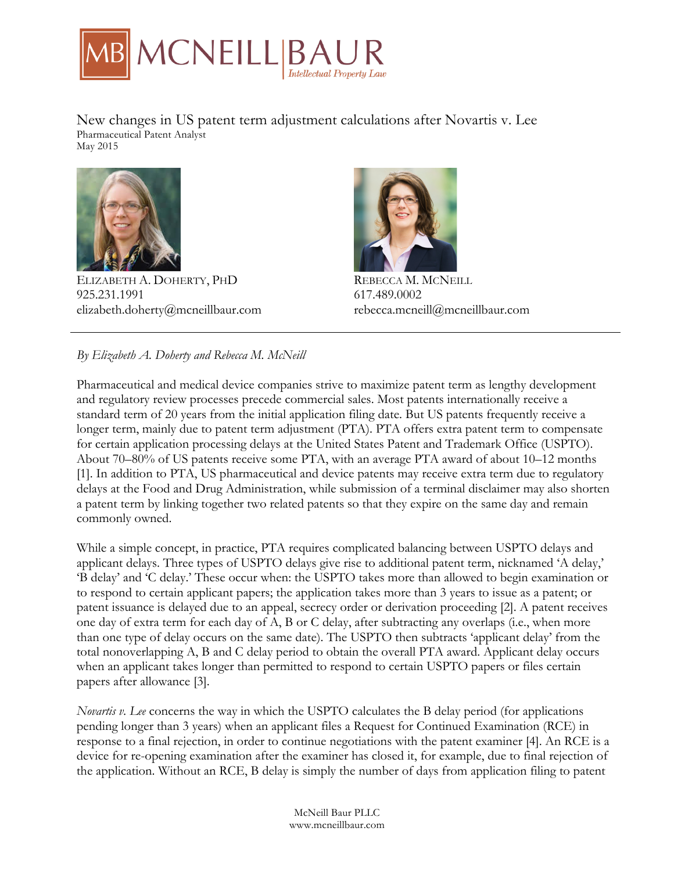

New changes in US patent term adjustment calculations after Novartis v. Lee Pharmaceutical Patent Analyst May 2015



ELIZABETH A. DOHERTY, PHD 925.231.1991 elizabeth.doherty@mcneillbaur.com



REBECCA M. MCNEILL 617.489.0002 rebecca.mcneill@mcneillbaur.com

# *By Elizabeth A. Doherty and Rebecca M. McNeill*

Pharmaceutical and medical device companies strive to maximize patent term as lengthy development and regulatory review processes precede commercial sales. Most patents internationally receive a standard term of 20 years from the initial application filing date. But US patents frequently receive a longer term, mainly due to patent term adjustment (PTA). PTA offers extra patent term to compensate for certain application processing delays at the United States Patent and Trademark Office (USPTO). About 70–80% of US patents receive some PTA, with an average PTA award of about 10–12 months [1]. In addition to PTA, US pharmaceutical and device patents may receive extra term due to regulatory delays at the Food and Drug Administration, while submission of a terminal disclaimer may also shorten a patent term by linking together two related patents so that they expire on the same day and remain commonly owned.

While a simple concept, in practice, PTA requires complicated balancing between USPTO delays and applicant delays. Three types of USPTO delays give rise to additional patent term, nicknamed 'A delay,' 'B delay' and 'C delay.' These occur when: the USPTO takes more than allowed to begin examination or to respond to certain applicant papers; the application takes more than 3 years to issue as a patent; or patent issuance is delayed due to an appeal, secrecy order or derivation proceeding [2]. A patent receives one day of extra term for each day of A, B or C delay, after subtracting any overlaps (i.e., when more than one type of delay occurs on the same date). The USPTO then subtracts 'applicant delay' from the total nonoverlapping A, B and C delay period to obtain the overall PTA award. Applicant delay occurs when an applicant takes longer than permitted to respond to certain USPTO papers or files certain papers after allowance [3].

*Novartis v. Lee* concerns the way in which the USPTO calculates the B delay period (for applications pending longer than 3 years) when an applicant files a Request for Continued Examination (RCE) in response to a final rejection, in order to continue negotiations with the patent examiner [4]. An RCE is a device for re-opening examination after the examiner has closed it, for example, due to final rejection of the application. Without an RCE, B delay is simply the number of days from application filing to patent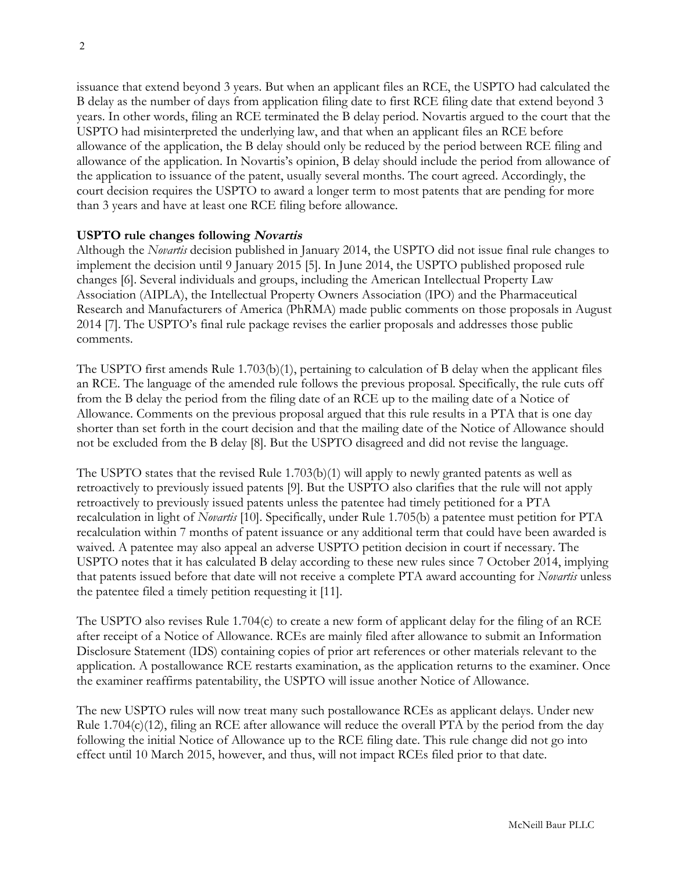issuance that extend beyond 3 years. But when an applicant files an RCE, the USPTO had calculated the B delay as the number of days from application filing date to first RCE filing date that extend beyond 3 years. In other words, filing an RCE terminated the B delay period. Novartis argued to the court that the USPTO had misinterpreted the underlying law, and that when an applicant files an RCE before allowance of the application, the B delay should only be reduced by the period between RCE filing and allowance of the application. In Novartis's opinion, B delay should include the period from allowance of the application to issuance of the patent, usually several months. The court agreed. Accordingly, the court decision requires the USPTO to award a longer term to most patents that are pending for more than 3 years and have at least one RCE filing before allowance.

## **USPTO rule changes following Novartis**

Although the *Novartis* decision published in January 2014, the USPTO did not issue final rule changes to implement the decision until 9 January 2015 [5]. In June 2014, the USPTO published proposed rule changes [6]. Several individuals and groups, including the American Intellectual Property Law Association (AIPLA), the Intellectual Property Owners Association (IPO) and the Pharmaceutical Research and Manufacturers of America (PhRMA) made public comments on those proposals in August 2014 [7]. The USPTO's final rule package revises the earlier proposals and addresses those public comments.

The USPTO first amends Rule 1.703(b)(1), pertaining to calculation of B delay when the applicant files an RCE. The language of the amended rule follows the previous proposal. Specifically, the rule cuts off from the B delay the period from the filing date of an RCE up to the mailing date of a Notice of Allowance. Comments on the previous proposal argued that this rule results in a PTA that is one day shorter than set forth in the court decision and that the mailing date of the Notice of Allowance should not be excluded from the B delay [8]. But the USPTO disagreed and did not revise the language.

The USPTO states that the revised Rule 1.703(b)(1) will apply to newly granted patents as well as retroactively to previously issued patents [9]. But the USPTO also clarifies that the rule will not apply retroactively to previously issued patents unless the patentee had timely petitioned for a PTA recalculation in light of *Novartis* [10]. Specifically, under Rule 1.705(b) a patentee must petition for PTA recalculation within 7 months of patent issuance or any additional term that could have been awarded is waived. A patentee may also appeal an adverse USPTO petition decision in court if necessary. The USPTO notes that it has calculated B delay according to these new rules since 7 October 2014, implying that patents issued before that date will not receive a complete PTA award accounting for *Novartis* unless the patentee filed a timely petition requesting it [11].

The USPTO also revises Rule 1.704(c) to create a new form of applicant delay for the filing of an RCE after receipt of a Notice of Allowance. RCEs are mainly filed after allowance to submit an Information Disclosure Statement (IDS) containing copies of prior art references or other materials relevant to the application. A postallowance RCE restarts examination, as the application returns to the examiner. Once the examiner reaffirms patentability, the USPTO will issue another Notice of Allowance.

The new USPTO rules will now treat many such postallowance RCEs as applicant delays. Under new Rule 1.704(c)(12), filing an RCE after allowance will reduce the overall PTA by the period from the day following the initial Notice of Allowance up to the RCE filing date. This rule change did not go into effect until 10 March 2015, however, and thus, will not impact RCEs filed prior to that date.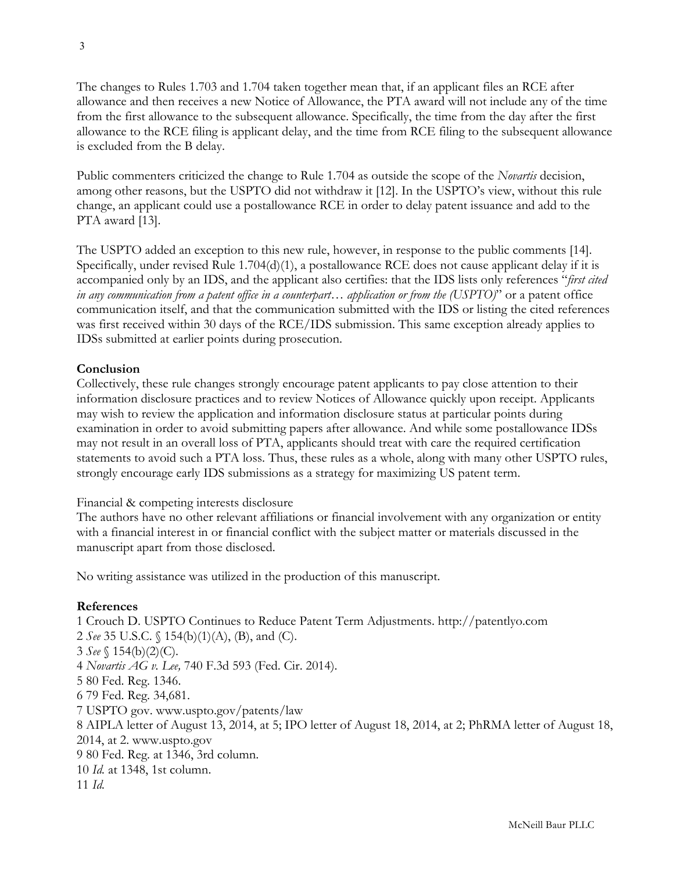The changes to Rules 1.703 and 1.704 taken together mean that, if an applicant files an RCE after allowance and then receives a new Notice of Allowance, the PTA award will not include any of the time from the first allowance to the subsequent allowance. Specifically, the time from the day after the first allowance to the RCE filing is applicant delay, and the time from RCE filing to the subsequent allowance is excluded from the B delay.

Public commenters criticized the change to Rule 1.704 as outside the scope of the *Novartis* decision, among other reasons, but the USPTO did not withdraw it [12]. In the USPTO's view, without this rule change, an applicant could use a postallowance RCE in order to delay patent issuance and add to the PTA award [13].

The USPTO added an exception to this new rule, however, in response to the public comments [14]. Specifically, under revised Rule 1.704(d)(1), a postallowance RCE does not cause applicant delay if it is accompanied only by an IDS, and the applicant also certifies: that the IDS lists only references "*first cited in any communication from a patent office in a counterpart… application or from the (USPTO)*" or a patent office communication itself, and that the communication submitted with the IDS or listing the cited references was first received within 30 days of the RCE/IDS submission. This same exception already applies to IDSs submitted at earlier points during prosecution.

## **Conclusion**

Collectively, these rule changes strongly encourage patent applicants to pay close attention to their information disclosure practices and to review Notices of Allowance quickly upon receipt. Applicants may wish to review the application and information disclosure status at particular points during examination in order to avoid submitting papers after allowance. And while some postallowance IDSs may not result in an overall loss of PTA, applicants should treat with care the required certification statements to avoid such a PTA loss. Thus, these rules as a whole, along with many other USPTO rules, strongly encourage early IDS submissions as a strategy for maximizing US patent term.

## Financial & competing interests disclosure

The authors have no other relevant affiliations or financial involvement with any organization or entity with a financial interest in or financial conflict with the subject matter or materials discussed in the manuscript apart from those disclosed.

No writing assistance was utilized in the production of this manuscript.

## **References**

1 Crouch D. USPTO Continues to Reduce Patent Term Adjustments. http://patentlyo.com 2 *See* 35 U.S.C. § 154(b)(1)(A), (B), and (C). 3 *See* § 154(b)(2)(C). 4 *Novartis AG v. Lee,* 740 F.3d 593 (Fed. Cir. 2014). 5 80 Fed. Reg. 1346. 6 79 Fed. Reg. 34,681. 7 USPTO gov. www.uspto.gov/patents/law 8 AIPLA letter of August 13, 2014, at 5; IPO letter of August 18, 2014, at 2; PhRMA letter of August 18, 2014, at 2. www.uspto.gov 9 80 Fed. Reg. at 1346, 3rd column. 10 *Id.* at 1348, 1st column. 11 *Id.*